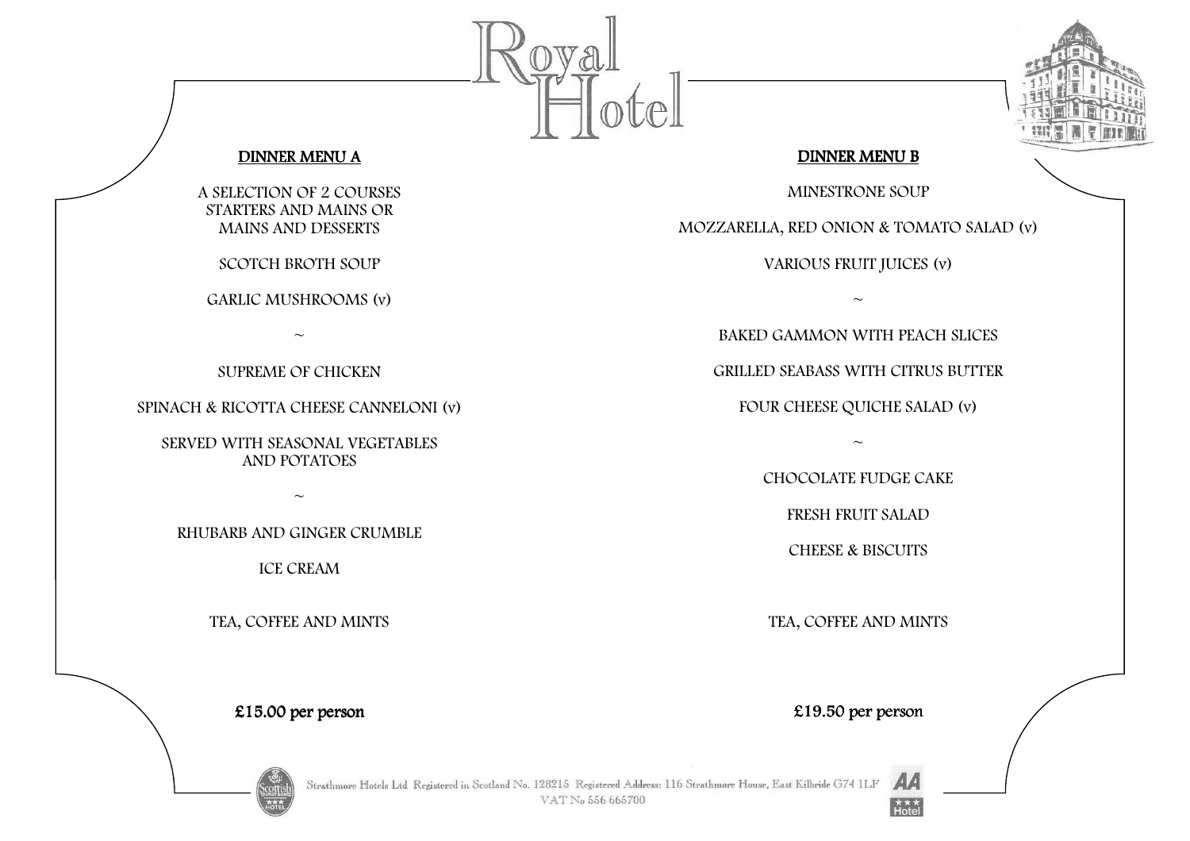



## DINNER MENU B

MINESTRONE SOUP

MOZZARELLA, RED ONION & TOMATO SALAD (v)

VARIOUS FRUIT JUICES (v)

 $\sim$ 

BAKED GAMMON WITH PEACH SLICES

GRILLED SEABASS WITH CITRUS BUTTER

FOUR CHEESE QUICHE SALAD (v)

 $\sim$ 

CHOCOLATE FUDGE CAKE

FRESH FRUIT SALAD

CHEESE & BISCUITS

TEA, COFFEE AND MINTS

## DINNER MENU A

A SELECTION OF 2 COURSES STARTERS AND MAINS OR MAINS AND DESSERTS

SCOTCH BROTH SOUP

GARLIC MUSHROOMS (v)

 $\sim$ 

SUPREME OF CHICKEN

SPINACH & RICOTTA CHEESE CANNELONI (v)

SERVED WITH SEASONAL VEGETABLES AND POTATOES

 $\sim$ 

RHUBARB AND GINGER CRUMBLE

ICE CREAM

TEA, COFFEE AND MINTS

 $£15.00$  per person

Strathmore Hotels Ltd Registered in Scotland No. 128215 Registered Address: 116 Strathmore House, East Kilbride G74 1LF VAT No 556 665700